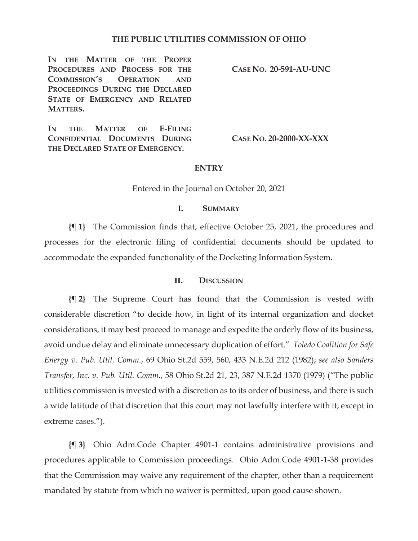### **THE PUBLIC UTILITIES COMMISSION OF OHIO**

**IN THE MATTER OF THE PROPER PROCEDURES AND PROCESS FOR THE COMMISSION'S OPERATION AND PROCEEDINGS DURING THE DECLARED STATE OF EMERGENCY AND RELATED MATTERS.** 

**IN THE MATTER OF E-FILING CONFIDENTIAL DOCUMENTS DURING THE DECLARED STATE OF EMERGENCY.** 

**CASE NO. 20-591-AU-UNC** 

**CASE NO. 20-2000-XX-XXX** 

### **ENTRY**

Entered in the Journal on October 20, 2021

### **I. SUMMARY**

**{¶ 1}** The Commission finds that, effective October 25, 2021, the procedures and processes for the electronic filing of confidential documents should be updated to accommodate the expanded functionality of the Docketing Information System.

#### **II. DISCUSSION**

**{¶ 2}** The Supreme Court has found that the Commission is vested with considerable discretion "to decide how, in light of its internal organization and docket considerations, it may best proceed to manage and expedite the orderly flow of its business, avoid undue delay and eliminate unnecessary duplication of effort." *Toledo Coalition for Safe Energy v. Pub. Util. Comm.*, 69 Ohio St.2d 559, 560, 433 N.E.2d 212 (1982); *see also Sanders Transfer, Inc. v. Pub. Util. Comm.*, 58 Ohio St.2d 21, 23, 387 N.E.2d 1370 (1979) ("The public utilities commission is invested with a discretion as to its order of business, and there is such a wide latitude of that discretion that this court may not lawfully interfere with it, except in extreme cases.").

**{¶ 3}** Ohio Adm.Code Chapter 4901-1 contains administrative provisions and procedures applicable to Commission proceedings. Ohio Adm.Code 4901-1-38 provides that the Commission may waive any requirement of the chapter, other than a requirement mandated by statute from which no waiver is permitted, upon good cause shown.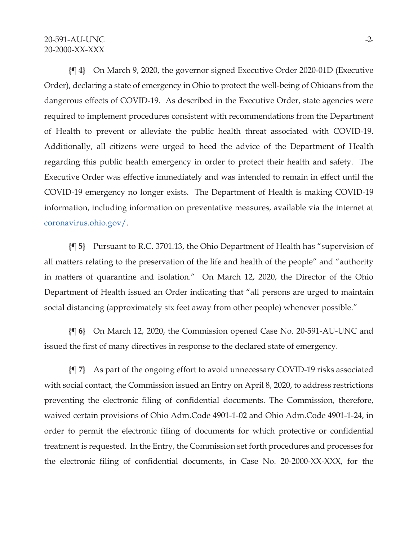**{¶ 4}** On March 9, 2020, the governor signed Executive Order 2020-01D (Executive Order), declaring a state of emergency in Ohio to protect the well-being of Ohioans from the dangerous effects of COVID-19. As described in the Executive Order, state agencies were required to implement procedures consistent with recommendations from the Department of Health to prevent or alleviate the public health threat associated with COVID-19. Additionally, all citizens were urged to heed the advice of the Department of Health regarding this public health emergency in order to protect their health and safety. The Executive Order was effective immediately and was intended to remain in effect until the COVID-19 emergency no longer exists. The Department of Health is making COVID-19 information, including information on preventative measures, available via the internet at coronavirus.ohio.gov/.

**{¶ 5}** Pursuant to R.C. 3701.13, the Ohio Department of Health has "supervision of all matters relating to the preservation of the life and health of the people" and "authority in matters of quarantine and isolation." On March 12, 2020, the Director of the Ohio Department of Health issued an Order indicating that "all persons are urged to maintain social distancing (approximately six feet away from other people) whenever possible."

**{¶ 6}** On March 12, 2020, the Commission opened Case No. 20-591-AU-UNC and issued the first of many directives in response to the declared state of emergency.

**{¶ 7}** As part of the ongoing effort to avoid unnecessary COVID-19 risks associated with social contact, the Commission issued an Entry on April 8, 2020, to address restrictions preventing the electronic filing of confidential documents. The Commission, therefore, waived certain provisions of Ohio Adm.Code 4901-1-02 and Ohio Adm.Code 4901-1-24, in order to permit the electronic filing of documents for which protective or confidential treatment is requested. In the Entry, the Commission set forth procedures and processes for the electronic filing of confidential documents, in Case No. 20-2000-XX-XXX, for the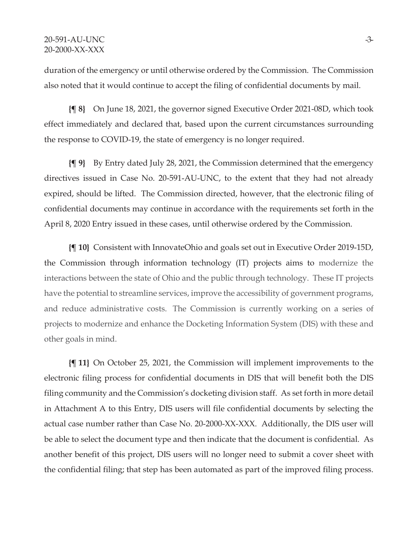duration of the emergency or until otherwise ordered by the Commission. The Commission also noted that it would continue to accept the filing of confidential documents by mail.

**{¶ 8}** On June 18, 2021, the governor signed Executive Order 2021-08D, which took effect immediately and declared that, based upon the current circumstances surrounding the response to COVID-19, the state of emergency is no longer required.

**{¶ 9}** By Entry dated July 28, 2021, the Commission determined that the emergency directives issued in Case No. 20-591-AU-UNC, to the extent that they had not already expired, should be lifted. The Commission directed, however, that the electronic filing of confidential documents may continue in accordance with the requirements set forth in the April 8, 2020 Entry issued in these cases, until otherwise ordered by the Commission.

**{¶ 10}** Consistent with InnovateOhio and goals set out in Executive Order 2019-15D, the Commission through information technology (IT) projects aims to modernize the interactions between the state of Ohio and the public through technology. These IT projects have the potential to streamline services, improve the accessibility of government programs, and reduce administrative costs. The Commission is currently working on a series of projects to modernize and enhance the Docketing Information System (DIS) with these and other goals in mind.

**{¶ 11}** On October 25, 2021, the Commission will implement improvements to the electronic filing process for confidential documents in DIS that will benefit both the DIS filing community and the Commission's docketing division staff. As set forth in more detail in Attachment A to this Entry, DIS users will file confidential documents by selecting the actual case number rather than Case No. 20-2000-XX-XXX. Additionally, the DIS user will be able to select the document type and then indicate that the document is confidential. As another benefit of this project, DIS users will no longer need to submit a cover sheet with the confidential filing; that step has been automated as part of the improved filing process.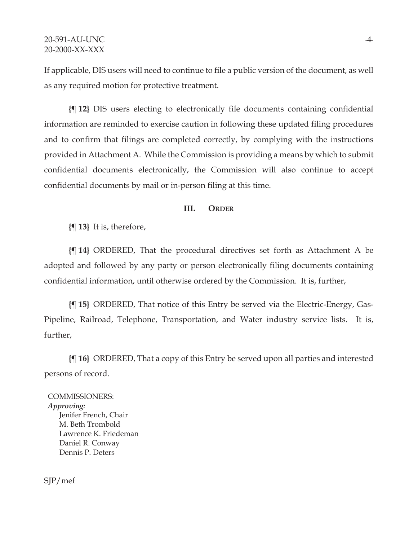If applicable, DIS users will need to continue to file a public version of the document, as well as any required motion for protective treatment.

**{¶ 12}** DIS users electing to electronically file documents containing confidential information are reminded to exercise caution in following these updated filing procedures and to confirm that filings are completed correctly, by complying with the instructions provided in Attachment A. While the Commission is providing a means by which to submit confidential documents electronically, the Commission will also continue to accept confidential documents by mail or in-person filing at this time.

## **III. ORDER**

**{¶ 13}** It is, therefore,

**{¶ 14}** ORDERED, That the procedural directives set forth as Attachment A be adopted and followed by any party or person electronically filing documents containing confidential information, until otherwise ordered by the Commission. It is, further,

**{¶ 15}** ORDERED, That notice of this Entry be served via the Electric-Energy, Gas-Pipeline, Railroad, Telephone, Transportation, and Water industry service lists. It is, further,

**{¶ 16}** ORDERED, That a copy of this Entry be served upon all parties and interested persons of record.

COMMISSIONERS: *Approving:*  Jenifer French, Chair M. Beth Trombold Lawrence K. Friedeman Daniel R. Conway Dennis P. Deters

SJP/mef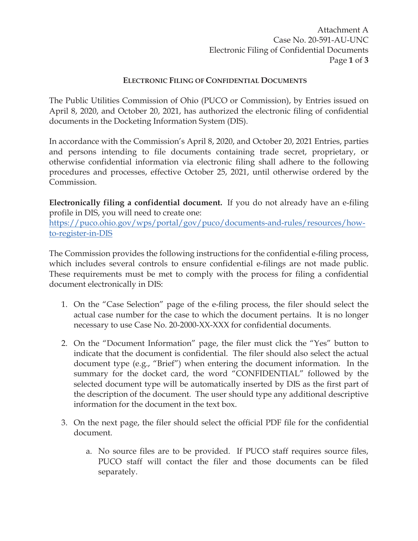Attachment A Case No. 20-591-AU-UNC Electronic Filing of Confidential Documents Page **1** of **3** 

## **ELECTRONIC FILING OF CONFIDENTIAL DOCUMENTS**

The Public Utilities Commission of Ohio (PUCO or Commission), by Entries issued on April 8, 2020, and October 20, 2021, has authorized the electronic filing of confidential documents in the Docketing Information System (DIS).

In accordance with the Commission's April 8, 2020, and October 20, 2021 Entries, parties and persons intending to file documents containing trade secret, proprietary, or otherwise confidential information via electronic filing shall adhere to the following procedures and processes, effective October 25, 2021, until otherwise ordered by the Commission.

**Electronically filing a confidential document.** If you do not already have an e-filing profile in DIS, you will need to create one:

https://puco.ohio.gov/wps/portal/gov/puco/documents-and-rules/resources/howto-register-in-DIS

The Commission provides the following instructions for the confidential e-filing process, which includes several controls to ensure confidential e-filings are not made public. These requirements must be met to comply with the process for filing a confidential document electronically in DIS:

- 1. On the "Case Selection" page of the e-filing process, the filer should select the actual case number for the case to which the document pertains. It is no longer necessary to use Case No. 20-2000-XX-XXX for confidential documents.
- 2. On the "Document Information" page, the filer must click the "Yes" button to indicate that the document is confidential. The filer should also select the actual document type (e.g., "Brief") when entering the document information. In the summary for the docket card, the word "CONFIDENTIAL" followed by the selected document type will be automatically inserted by DIS as the first part of the description of the document. The user should type any additional descriptive information for the document in the text box.
- 3. On the next page, the filer should select the official PDF file for the confidential document.
	- a. No source files are to be provided. If PUCO staff requires source files, PUCO staff will contact the filer and those documents can be filed separately.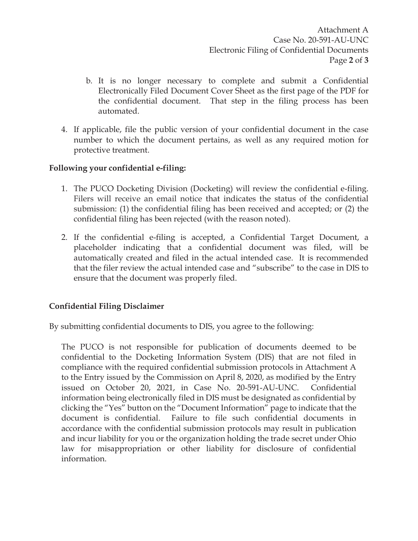Attachment A Case No. 20-591-AU-UNC Electronic Filing of Confidential Documents Page **2** of **3** 

- b. It is no longer necessary to complete and submit a Confidential Electronically Filed Document Cover Sheet as the first page of the PDF for the confidential document. That step in the filing process has been automated.
- 4. If applicable, file the public version of your confidential document in the case number to which the document pertains, as well as any required motion for protective treatment.

## **Following your confidential e-filing:**

- 1. The PUCO Docketing Division (Docketing) will review the confidential e-filing. Filers will receive an email notice that indicates the status of the confidential submission: (1) the confidential filing has been received and accepted; or (2) the confidential filing has been rejected (with the reason noted).
- 2. If the confidential e-filing is accepted, a Confidential Target Document, a placeholder indicating that a confidential document was filed, will be automatically created and filed in the actual intended case. It is recommended that the filer review the actual intended case and "subscribe" to the case in DIS to ensure that the document was properly filed.

## **Confidential Filing Disclaimer**

By submitting confidential documents to DIS, you agree to the following:

The PUCO is not responsible for publication of documents deemed to be confidential to the Docketing Information System (DIS) that are not filed in compliance with the required confidential submission protocols in Attachment A to the Entry issued by the Commission on April 8, 2020, as modified by the Entry issued on October 20, 2021, in Case No. 20-591-AU-UNC. Confidential information being electronically filed in DIS must be designated as confidential by clicking the "Yes" button on the "Document Information" page to indicate that the document is confidential. Failure to file such confidential documents in accordance with the confidential submission protocols may result in publication and incur liability for you or the organization holding the trade secret under Ohio law for misappropriation or other liability for disclosure of confidential information.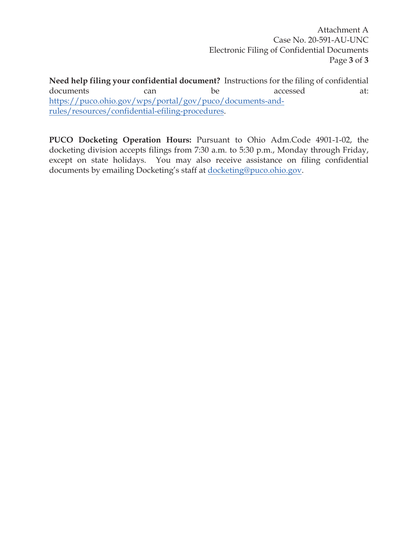Attachment A Case No. 20-591-AU-UNC Electronic Filing of Confidential Documents Page **3** of **3** 

**Need help filing your confidential document?** Instructions for the filing of confidential documents can be accessed at: https://puco.ohio.gov/wps/portal/gov/puco/documents-andrules/resources/confidential-efiling-procedures.

**PUCO Docketing Operation Hours:** Pursuant to Ohio Adm.Code 4901-1-02, the docketing division accepts filings from 7:30 a.m. to 5:30 p.m., Monday through Friday, except on state holidays. You may also receive assistance on filing confidential documents by emailing Docketing's staff at docketing@puco.ohio.gov.